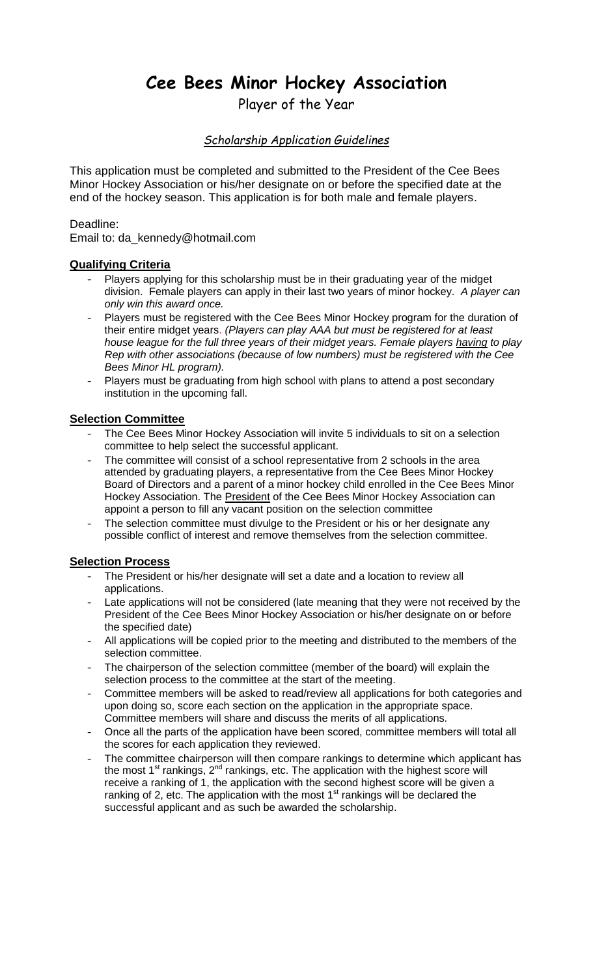# **Cee Bees Minor Hockey Association**

Player of the Year

# *Scholarship Application Guidelines*

This application must be completed and submitted to the President of the Cee Bees Minor Hockey Association or his/her designate on or before the specified date at the end of the hockey season. This application is for both male and female players.

## Deadline:

Email to: da\_kennedy@hotmail.com

## **Qualifying Criteria**

- Players applying for this scholarship must be in their graduating year of the midget division. Female players can apply in their last two years of minor hockey. *A player can only win this award once.*
- Players must be registered with the Cee Bees Minor Hockey program for the duration of their entire midget years. *(Players can play AAA but must be registered for at least house league for the full three years of their midget years. Female players having to play Rep with other associations (because of low numbers) must be registered with the Cee Bees Minor HL program).*
- Players must be graduating from high school with plans to attend a post secondary institution in the upcoming fall.

## **Selection Committee**

- The Cee Bees Minor Hockey Association will invite 5 individuals to sit on a selection committee to help select the successful applicant.
- The committee will consist of a school representative from 2 schools in the area attended by graduating players, a representative from the Cee Bees Minor Hockey Board of Directors and a parent of a minor hockey child enrolled in the Cee Bees Minor Hockey Association. The **President** of the Cee Bees Minor Hockey Association can appoint a person to fill any vacant position on the selection committee
- The selection committee must divulge to the President or his or her designate any possible conflict of interest and remove themselves from the selection committee.

# **Selection Process**

- The President or his/her designate will set a date and a location to review all applications.
- Late applications will not be considered (late meaning that they were not received by the President of the Cee Bees Minor Hockey Association or his/her designate on or before the specified date)
- All applications will be copied prior to the meeting and distributed to the members of the selection committee.
- The chairperson of the selection committee (member of the board) will explain the selection process to the committee at the start of the meeting.
- Committee members will be asked to read/review all applications for both categories and upon doing so, score each section on the application in the appropriate space. Committee members will share and discuss the merits of all applications.
- Once all the parts of the application have been scored, committee members will total all the scores for each application they reviewed.
- The committee chairperson will then compare rankings to determine which applicant has the most  $1<sup>st</sup>$  rankings,  $2<sup>nd</sup>$  rankings, etc. The application with the highest score will receive a ranking of 1, the application with the second highest score will be given a ranking of 2, etc. The application with the most  $1<sup>st</sup>$  rankings will be declared the successful applicant and as such be awarded the scholarship.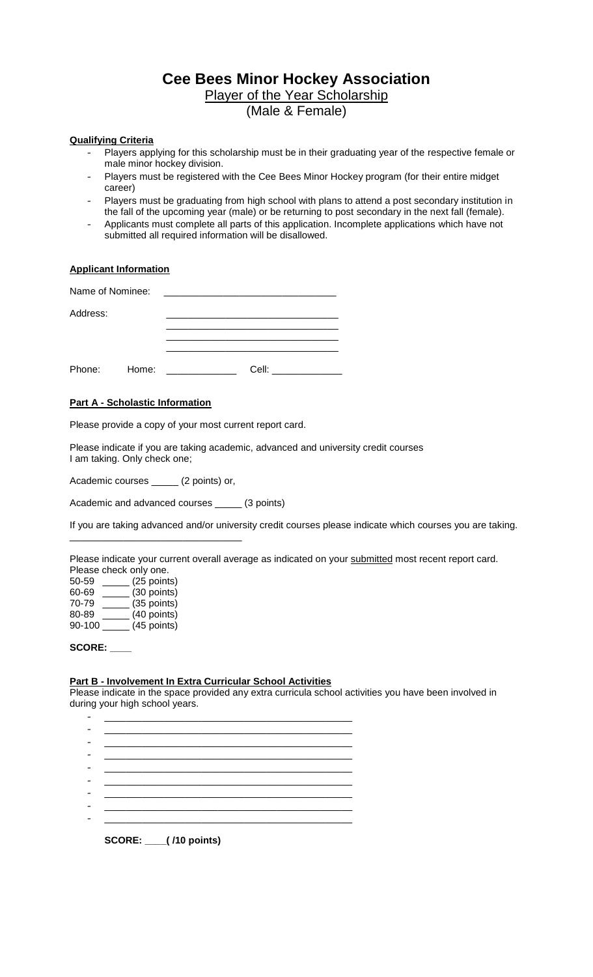# **Cee Bees Minor Hockey Association**

Player of the Year Scholarship

(Male & Female)

#### **Qualifying Criteria**

- Players applying for this scholarship must be in their graduating year of the respective female or male minor hockey division.
- Players must be registered with the Cee Bees Minor Hockey program (for their entire midget career)
- Players must be graduating from high school with plans to attend a post secondary institution in the fall of the upcoming year (male) or be returning to post secondary in the next fall (female).
- Applicants must complete all parts of this application. Incomplete applications which have not submitted all required information will be disallowed.

#### **Applicant Information**

| Name of Nominee: |       |       |
|------------------|-------|-------|
| Address:         |       |       |
|                  |       |       |
| Phone:           | Home: | Cell: |

#### **Part A - Scholastic Information**

Please provide a copy of your most current report card.

Please indicate if you are taking academic, advanced and university credit courses I am taking. Only check one;

Academic courses \_\_\_\_\_ (2 points) or,

\_\_\_\_\_\_\_\_\_\_\_\_\_\_\_\_\_\_\_\_\_\_\_\_\_\_\_\_\_\_\_\_

Academic and advanced courses \_\_\_\_\_ (3 points)

If you are taking advanced and/or university credit courses please indicate which courses you are taking.

Please indicate your current overall average as indicated on your submitted most recent report card. Please check only one.

| 50-59  | (25 points) |
|--------|-------------|
| 60-69  | (30 points) |
| 70-79  | (35 points) |
| 80-89  | (40 points) |
| 90-100 | (45 points) |

#### **SCORE: \_\_\_\_**

#### **Part B - Involvement In Extra Curricular School Activities**

Please indicate in the space provided any extra curricula school activities you have been involved in during your high school years.

| <b>SCORE: __(/10 points)</b> |  |
|------------------------------|--|